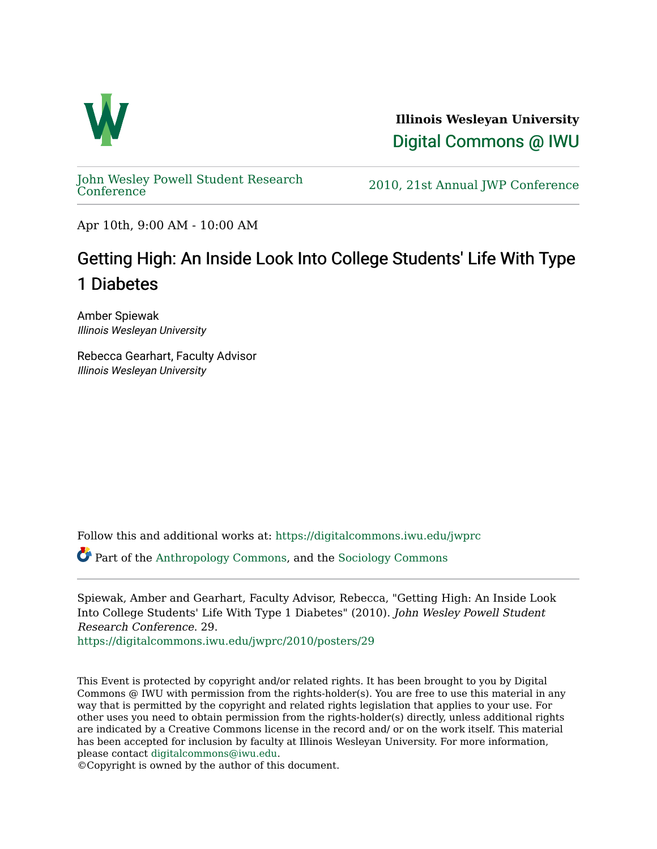

**Illinois Wesleyan University**  [Digital Commons @ IWU](https://digitalcommons.iwu.edu/) 

[John Wesley Powell Student Research](https://digitalcommons.iwu.edu/jwprc) 

2010, 21st Annual JWP [Conference](https://digitalcommons.iwu.edu/jwprc)

Apr 10th, 9:00 AM - 10:00 AM

## Getting High: An Inside Look Into College Students' Life With Type 1 Diabetes

Amber Spiewak Illinois Wesleyan University

Rebecca Gearhart, Faculty Advisor Illinois Wesleyan University

Follow this and additional works at: [https://digitalcommons.iwu.edu/jwprc](https://digitalcommons.iwu.edu/jwprc?utm_source=digitalcommons.iwu.edu%2Fjwprc%2F2010%2Fposters%2F29&utm_medium=PDF&utm_campaign=PDFCoverPages) 

Part of the [Anthropology Commons](http://network.bepress.com/hgg/discipline/318?utm_source=digitalcommons.iwu.edu%2Fjwprc%2F2010%2Fposters%2F29&utm_medium=PDF&utm_campaign=PDFCoverPages), and the [Sociology Commons](http://network.bepress.com/hgg/discipline/416?utm_source=digitalcommons.iwu.edu%2Fjwprc%2F2010%2Fposters%2F29&utm_medium=PDF&utm_campaign=PDFCoverPages) 

Spiewak, Amber and Gearhart, Faculty Advisor, Rebecca, "Getting High: An Inside Look Into College Students' Life With Type 1 Diabetes" (2010). John Wesley Powell Student Research Conference. 29.

[https://digitalcommons.iwu.edu/jwprc/2010/posters/29](https://digitalcommons.iwu.edu/jwprc/2010/posters/29?utm_source=digitalcommons.iwu.edu%2Fjwprc%2F2010%2Fposters%2F29&utm_medium=PDF&utm_campaign=PDFCoverPages)

This Event is protected by copyright and/or related rights. It has been brought to you by Digital Commons @ IWU with permission from the rights-holder(s). You are free to use this material in any way that is permitted by the copyright and related rights legislation that applies to your use. For other uses you need to obtain permission from the rights-holder(s) directly, unless additional rights are indicated by a Creative Commons license in the record and/ or on the work itself. This material has been accepted for inclusion by faculty at Illinois Wesleyan University. For more information, please contact [digitalcommons@iwu.edu.](mailto:digitalcommons@iwu.edu)

©Copyright is owned by the author of this document.